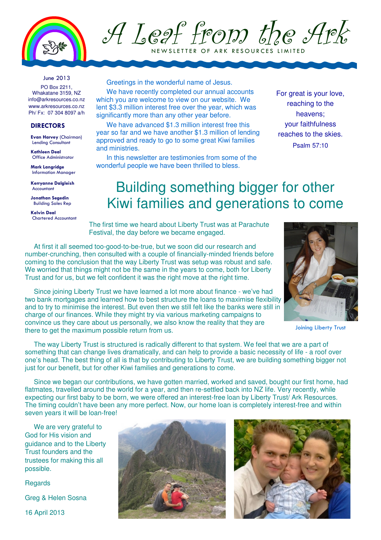

A Leaf from the Ark

N E W SLETTER OF ARK RESOURCES LIMITED

#### June 2013

PO Box 2211, Whakatane 3159, NZ info@arkresources.co.nz www.arkresources.co.nz Ph/ Fx: 07 304 8097 a/h

### DIRECTORS

Evan Harvey (Chairman) Lending Consultant

Kathleen Deal Office Administrator

Mark Langridge Information Manager

Kerryanne Dalgleish Accountant

Jonathan Segedin Building Sales Rep

Kelvin Deal Chartered Accountant

### Greetings in the wonderful name of Jesus.

We have recently completed our annual accounts which you are welcome to view on our website. We lent \$3.3 million interest free over the year, which was significantly more than any other year before.

We have advanced \$1.3 million interest free this year so far and we have another \$1.3 million of lending approved and ready to go to some great Kiwi families and ministries.

In this newsletter are testimonies from some of the wonderful people we have been thrilled to bless.

For great is your love, reaching to the heavens; your faithfulness reaches to the skies. Psalm 57:10

### Building something bigger for other Kiwi families and generations to come

The first time we heard about Liberty Trust was at Parachute Festival, the day before we became engaged.

At first it all seemed too-good-to-be-true, but we soon did our research and number-crunching, then consulted with a couple of financially-minded friends before coming to the conclusion that the way Liberty Trust was setup was robust and safe. We worried that things might not be the same in the years to come, both for Liberty Trust and for us, but we felt confident it was the right move at the right time.



Joining Liberty Trust

Since joining Liberty Trust we have learned a lot more about finance - we've had two bank mortgages and learned how to best structure the loans to maximise flexibility and to try to minimise the interest. But even then we still felt like the banks were still in charge of our finances. While they might try via various marketing campaigns to convince us they care about us personally, we also know the reality that they are there to get the maximum possible return from us.

The way Liberty Trust is structured is radically different to that system. We feel that we are a part of something that can change lives dramatically, and can help to provide a basic necessity of life - a roof over one's head. The best thing of all is that by contributing to Liberty Trust, we are building something bigger not just for our benefit, but for other Kiwi families and generations to come.

Since we began our contributions, we have gotten married, worked and saved, bought our first home, had flatmates, travelled around the world for a year, and then re-settled back into NZ life. Very recently, while expecting our first baby to be born, we were offered an interest-free loan by Liberty Trust/ Ark Resources. The timing couldn't have been any more perfect. Now, our home loan is completely interest-free and within seven years it will be loan-free!

We are very grateful to God for His vision and guidance and to the Liberty Trust founders and the trustees for making this all possible.

**Regards** Greg & Helen Sosna 16 April 2013